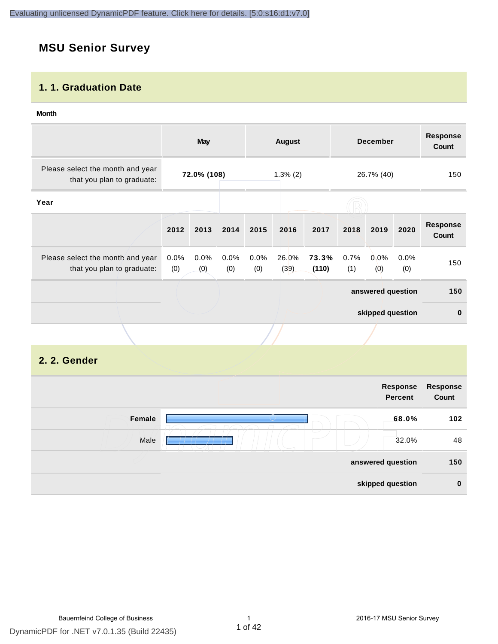### **MSU Senior Survey**

#### **1. 1. Graduation Date**

#### **Month**

|                                                                |             | May         |             |             | <b>August</b> |                |             | <b>December</b>   |             | <b>Response</b><br>Count |
|----------------------------------------------------------------|-------------|-------------|-------------|-------------|---------------|----------------|-------------|-------------------|-------------|--------------------------|
| Please select the month and year<br>that you plan to graduate: |             | 72.0% (108) |             |             | $1.3\%$ (2)   |                |             | 26.7% (40)        |             | 150                      |
| Year                                                           |             |             |             |             |               |                |             |                   |             |                          |
|                                                                | 2012        | 2013        | 2014        | 2015        | 2016          | 2017           | 2018        | 2019              | 2020        | <b>Response</b><br>Count |
| Please select the month and year<br>that you plan to graduate: | 0.0%<br>(0) | 0.0%<br>(0) | 0.0%<br>(0) | 0.0%<br>(0) | 26.0%<br>(39) | 73.3%<br>(110) | 0.7%<br>(1) | 0.0%<br>(0)       | 0.0%<br>(0) | 150                      |
|                                                                |             |             |             |             |               |                |             | answered question |             | 150                      |
|                                                                |             |             |             |             |               |                |             | skipped question  |             | $\mathbf 0$              |
|                                                                |             |             |             |             |               |                |             |                   |             |                          |

#### **2. 2. Gender**

|        | Response<br>Percent | Response<br>Count |
|--------|---------------------|-------------------|
| Female | 68.0%               | 102               |
| Male   | 32.0%               | 48                |
|        | answered question   | 150               |
|        | skipped question    | $\bf{0}$          |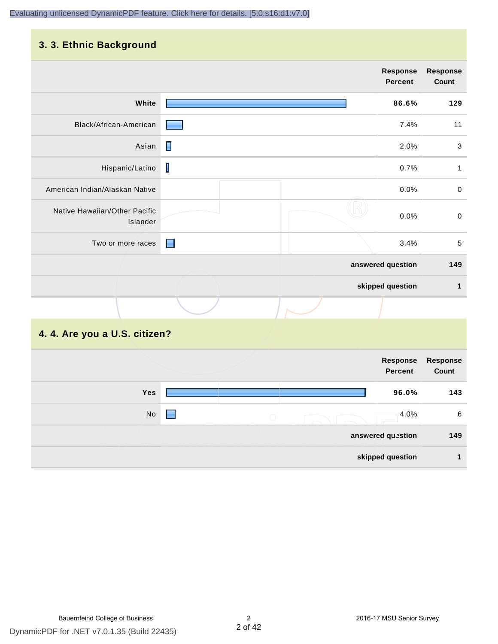#### **3. 3. Ethnic Background**

|                                           |                | <b>Response</b><br><b>Percent</b> | <b>Response</b><br>Count |
|-------------------------------------------|----------------|-----------------------------------|--------------------------|
| White                                     |                | 86.6%                             | 129                      |
| Black/African-American                    |                | 7.4%                              | 11                       |
| Asian                                     | П              | 2.0%                              | 3                        |
| Hispanic/Latino                           | $\mathsf I$    | 0.7%                              | 1                        |
| American Indian/Alaskan Native            |                | 0.0%                              | $\pmb{0}$                |
| Native Hawaiian/Other Pacific<br>Islander |                | 0.0%                              | $\pmb{0}$                |
| Two or more races                         | $\blacksquare$ | 3.4%                              | 5                        |
|                                           |                | answered question                 | 149                      |
|                                           |                | skipped question                  | 1                        |
|                                           |                |                                   |                          |

#### **4. 4. Are you a U.S. citizen?**

|     |                 | Response<br><b>Percent</b> | <b>Response</b><br>Count |
|-----|-----------------|----------------------------|--------------------------|
| Yes |                 | 96.0%                      | 143                      |
| No  | ٠<br>$\bigcirc$ | 4.0%                       | 6                        |
|     |                 | answered question          | 149                      |
|     |                 | skipped question           |                          |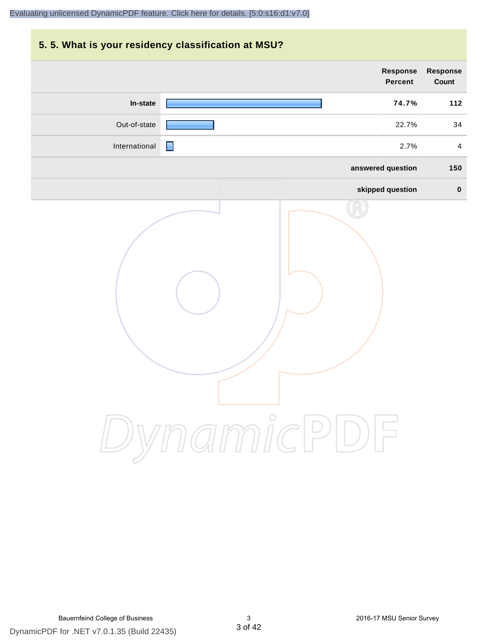## **5. 5. What is your residency classification at MSU? Response Response Percent Count In-state 74.7% 112** Out-of-state **22.7%** 34 International 2.7% 4 **answered question 150 skipped question 0** DynamicPDF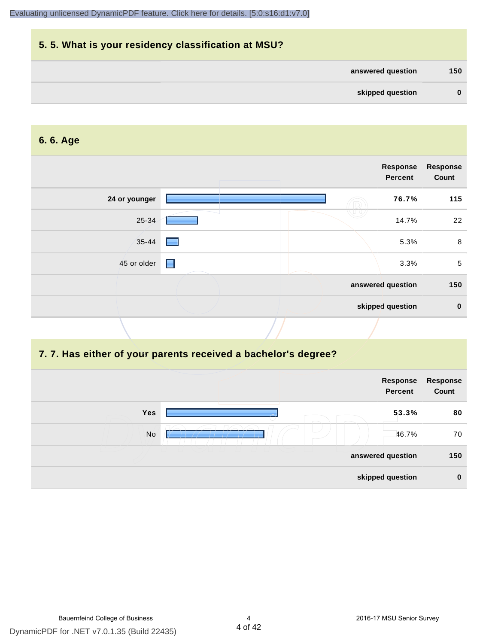|          |                   | 5.5. What is your residency classification at MSU? |
|----------|-------------------|----------------------------------------------------|
| 150      | answered question |                                                    |
| $\bf{0}$ | skipped question  |                                                    |

#### **6. 6. Age**

|               |   | Response<br>Percent | <b>Response</b><br>Count |
|---------------|---|---------------------|--------------------------|
| 24 or younger |   | 76.7%               | 115                      |
| 25-34         |   | 14.7%               | 22                       |
| 35-44         |   | 5.3%                | 8                        |
| 45 or older   | E | 3.3%                | 5                        |
|               |   | answered question   | 150                      |
|               |   | skipped question    | $\mathbf 0$              |
|               |   |                     |                          |

#### **7. 7. Has either of your parents received a bachelor's degree?**

|     | Response<br><b>Percent</b> | Response<br>Count |
|-----|----------------------------|-------------------|
| Yes | 53.3%                      | 80                |
| No  | 46.7%                      | 70                |
|     | answered question          | 150               |
|     | skipped question           | $\bf{0}$          |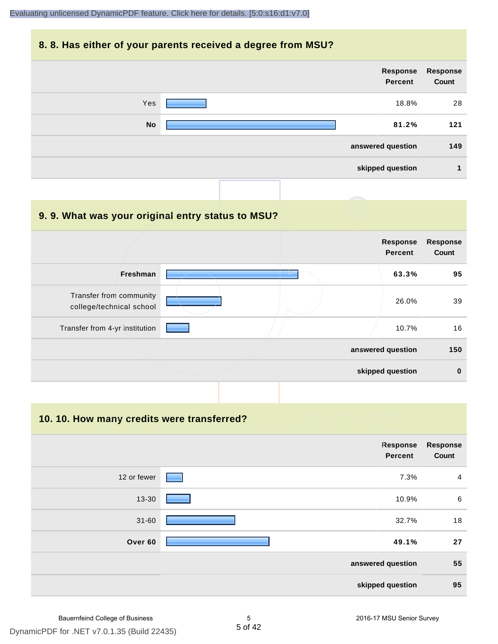#### **8. 8. Has either of your parents received a degree from MSU?**



| 9.9. What was your original entry status to MSU?    |                                   |                          |
|-----------------------------------------------------|-----------------------------------|--------------------------|
|                                                     | <b>Response</b><br><b>Percent</b> | <b>Response</b><br>Count |
| Freshman                                            | 63.3%                             | 95                       |
| Transfer from community<br>college/technical school | 26.0%                             | 39                       |
| Transfer from 4-yr institution                      | 10.7%                             | 16                       |
|                                                     | answered question                 | 150                      |
|                                                     | skipped question                  | $\bf{0}$                 |

**10. 10. How many credits were transferred?**

| <b>Response</b><br>Count | Response<br><b>Percent</b> |             |
|--------------------------|----------------------------|-------------|
| 4                        | 7.3%                       | 12 or fewer |
| 6                        | 10.9%                      | 13-30       |
| 18                       | 32.7%                      | $31 - 60$   |
| 27                       | 49.1%                      | Over 60     |
| 55                       | answered question          |             |
| 95                       | skipped question           |             |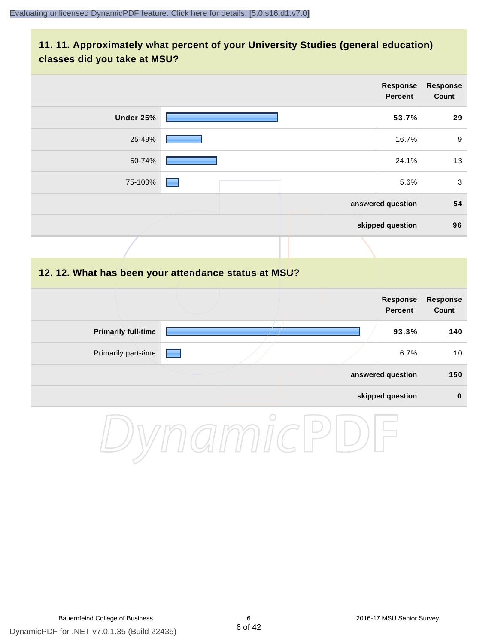#### **11. 11. Approximately what percent of your University Studies (general education) classes did you take at MSU?**

|                            |                                                      | <b>Response</b><br><b>Percent</b> | <b>Response</b><br>Count |
|----------------------------|------------------------------------------------------|-----------------------------------|--------------------------|
| Under 25%                  |                                                      | 53.7%                             | 29                       |
| 25-49%                     |                                                      | 16.7%                             | $\boldsymbol{9}$         |
| 50-74%                     |                                                      | 24.1%                             | 13                       |
| 75-100%                    |                                                      | 5.6%                              | $\mathbf{3}$             |
|                            |                                                      | answered question                 | 54                       |
|                            |                                                      | skipped question                  | 96                       |
|                            |                                                      |                                   |                          |
|                            | 12. 12. What has been your attendance status at MSU? |                                   |                          |
|                            |                                                      | <b>Response</b><br><b>Percent</b> | Response<br>Count        |
| <b>Primarily full-time</b> |                                                      | 93.3%                             | 140                      |
| Primarily part-time        |                                                      | 6.7%                              | 10                       |
|                            |                                                      | answered question                 | 150                      |
|                            |                                                      | skipped question                  | $\pmb{0}$                |
|                            | $\bigcirc$                                           |                                   |                          |

DynamicPDF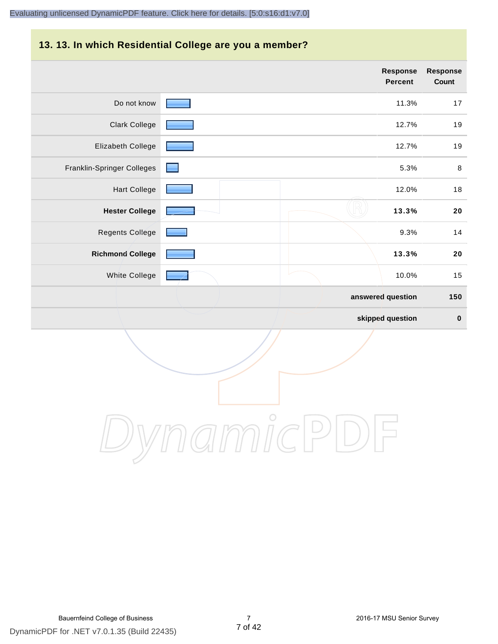#### **13. 13. In which Residential College are you a member?**

|                            |                     | <b>Response</b><br><b>Percent</b> | <b>Response</b><br>Count |
|----------------------------|---------------------|-----------------------------------|--------------------------|
| Do not know                |                     | 11.3%                             | 17                       |
| <b>Clark College</b>       |                     | 12.7%                             | 19                       |
| Elizabeth College          |                     | 12.7%                             | 19                       |
| Franklin-Springer Colleges | $\lfloor - \rfloor$ | 5.3%                              | 8                        |
| <b>Hart College</b>        |                     | 12.0%                             | $18$                     |
| <b>Hester College</b>      |                     | 13.3%                             | 20                       |
| Regents College            |                     | 9.3%                              | 14                       |
| <b>Richmond College</b>    |                     | 13.3%                             | 20                       |
| White College              |                     | 10.0%                             | 15                       |
|                            |                     | answered question                 | 150                      |
|                            |                     | skipped question                  | $\pmb{0}$                |

DynamicPDF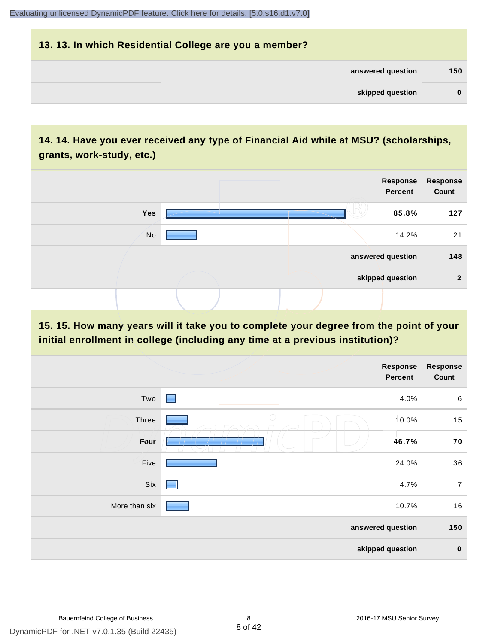### **13. 13. In which Residential College are you a member? answered question 150 skipped question 0**

#### **14. 14. Have you ever received any type of Financial Aid while at MSU? (scholarships, grants, work-study, etc.)**



**15. 15. How many years will it take you to complete your degree from the point of your initial enrollment in college (including any time at a previous institution)?**

|               | Response<br><b>Percent</b> | <b>Response</b><br>Count |
|---------------|----------------------------|--------------------------|
| Two           | $\blacksquare$<br>4.0%     | 6                        |
| Three         | $\bigcirc$<br>$10.0\%$     | 15                       |
| Four          | 46.7%                      | 70                       |
| Five          | 24.0%                      | 36                       |
| Six           | 4.7%<br>٠                  | $\overline{7}$           |
| More than six | 10.7%                      | 16                       |
|               | answered question          | 150                      |
|               | skipped question           | $\pmb{0}$                |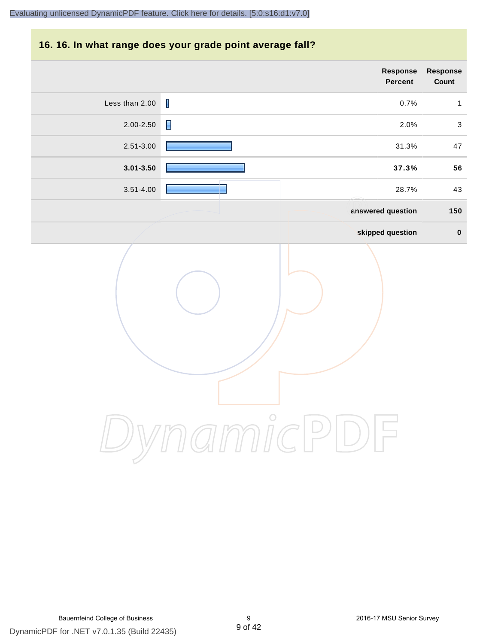#### **16. 16. In what range does your grade point average fall?**

|                | Response<br>Percent    | Response<br>Count         |
|----------------|------------------------|---------------------------|
| Less than 2.00 | $\mathsf I$<br>0.7%    | $\mathbf{1}$              |
| $2.00 - 2.50$  | $\blacksquare$<br>2.0% | $\ensuremath{\mathsf{3}}$ |
| 2.51-3.00      | 31.3%                  | $47\,$                    |
| $3.01 - 3.50$  | 37.3%                  | 56                        |
| $3.51 - 4.00$  | 28.7%                  | 43                        |
|                | answered question      | 150                       |
|                | skipped question       | $\pmb{0}$                 |
|                | $\circ$                |                           |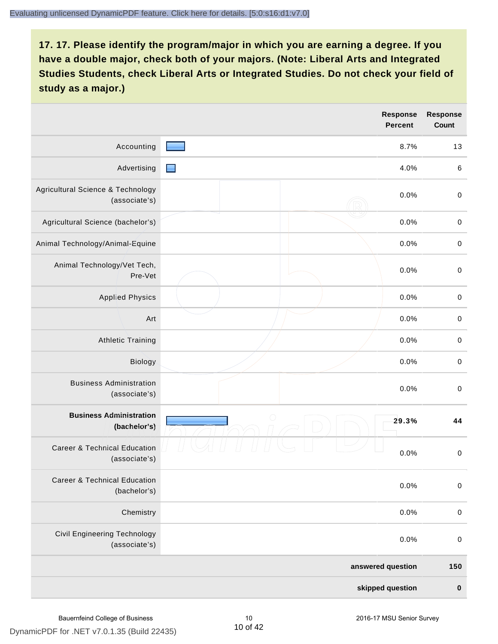|                                                          | <b>Response</b><br><b>Percent</b> | <b>Response</b><br>Count |
|----------------------------------------------------------|-----------------------------------|--------------------------|
| Accounting                                               | 8.7%                              | 13                       |
| Advertising                                              | 4.0%<br>▬                         | $\,6$                    |
| Agricultural Science & Technology<br>(associate's)       | 0.0%                              | $\,0\,$                  |
| Agricultural Science (bachelor's)                        | 0.0%                              | $\,0\,$                  |
| Animal Technology/Animal-Equine                          | 0.0%                              | $\,0\,$                  |
| Animal Technology/Vet Tech,<br>Pre-Vet                   | 0.0%                              | $\mathbf 0$              |
| <b>Applied Physics</b>                                   | 0.0%                              | $\mathbf 0$              |
| Art                                                      | 0.0%                              | $\mathbf 0$              |
| <b>Athletic Training</b>                                 | 0.0%                              | $\mathbf 0$              |
| Biology                                                  | 0.0%                              | $\mathbf 0$              |
| <b>Business Administration</b><br>(associate's)          | 0.0%                              | $\pmb{0}$                |
| <b>Business Administration</b><br>(bacheior's)           | $\bigcirc$<br>29.3%               | 44                       |
| <b>Career &amp; Technical Education</b><br>(associate's) | 0.0%                              | $\,0\,$                  |
| <b>Career &amp; Technical Education</b><br>(bachelor's)  | 0.0%                              | $\mathbf 0$              |
| Chemistry                                                | 0.0%                              | $\mathbf 0$              |
| <b>Civil Engineering Technology</b><br>(associate's)     | 0.0%                              | $\,0\,$                  |
|                                                          | answered question                 | 150                      |
|                                                          | skipped question                  | $\pmb{0}$                |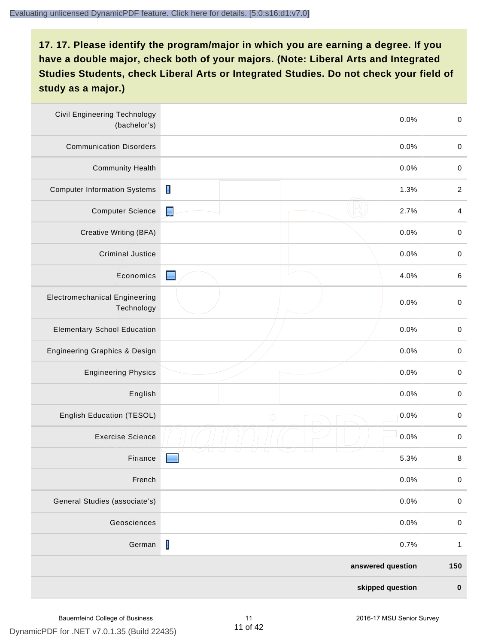| <b>Civil Engineering Technology</b><br>(bachelor's) |                                                                                                                                                                                                                                                                                                                                                                                                                | 0.0%              | $\mathbf 0$    |
|-----------------------------------------------------|----------------------------------------------------------------------------------------------------------------------------------------------------------------------------------------------------------------------------------------------------------------------------------------------------------------------------------------------------------------------------------------------------------------|-------------------|----------------|
| <b>Communication Disorders</b>                      |                                                                                                                                                                                                                                                                                                                                                                                                                | 0.0%              | $\pmb{0}$      |
| <b>Community Health</b>                             |                                                                                                                                                                                                                                                                                                                                                                                                                | 0.0%              | $\pmb{0}$      |
| <b>Computer Information Systems</b>                 | П                                                                                                                                                                                                                                                                                                                                                                                                              | 1.3%              | $\overline{c}$ |
| <b>Computer Science</b>                             | IJ                                                                                                                                                                                                                                                                                                                                                                                                             | 2.7%              | 4              |
| Creative Writing (BFA)                              |                                                                                                                                                                                                                                                                                                                                                                                                                | 0.0%              | $\mathbf 0$    |
| <b>Criminal Justice</b>                             |                                                                                                                                                                                                                                                                                                                                                                                                                | 0.0%              | $\mathbf 0$    |
| Economics                                           | ٠                                                                                                                                                                                                                                                                                                                                                                                                              | 4.0%              | $\,6\,$        |
| <b>Electromechanical Engineering</b><br>Technology  |                                                                                                                                                                                                                                                                                                                                                                                                                | 0.0%              | $\mathbf 0$    |
| <b>Elementary School Education</b>                  |                                                                                                                                                                                                                                                                                                                                                                                                                | 0.0%              | $\mathbf 0$    |
| Engineering Graphics & Design                       |                                                                                                                                                                                                                                                                                                                                                                                                                | 0.0%              | $\mathbf 0$    |
| <b>Engineering Physics</b>                          |                                                                                                                                                                                                                                                                                                                                                                                                                | 0.0%              | $\pmb{0}$      |
| English                                             |                                                                                                                                                                                                                                                                                                                                                                                                                | 0.0%              | $\pmb{0}$      |
| English Education (TESOL)                           | $\bigcirc$                                                                                                                                                                                                                                                                                                                                                                                                     | 0.0%              | $\mathbf 0$    |
| <b>Exercise Science</b>                             |                                                                                                                                                                                                                                                                                                                                                                                                                | 0.0%              | $\mathbf 0$    |
| Finance                                             |                                                                                                                                                                                                                                                                                                                                                                                                                | 5.3%              | 8              |
| French                                              |                                                                                                                                                                                                                                                                                                                                                                                                                | 0.0%              | $\mathbf 0$    |
| General Studies (associate's)                       |                                                                                                                                                                                                                                                                                                                                                                                                                | 0.0%              | $\,0\,$        |
| Geosciences                                         |                                                                                                                                                                                                                                                                                                                                                                                                                | 0.0%              | $\mathbf 0$    |
| German                                              | $\begin{array}{c} \rule{0pt}{2ex} \rule{0pt}{2ex} \rule{0pt}{2ex} \rule{0pt}{2ex} \rule{0pt}{2ex} \rule{0pt}{2ex} \rule{0pt}{2ex} \rule{0pt}{2ex} \rule{0pt}{2ex} \rule{0pt}{2ex} \rule{0pt}{2ex} \rule{0pt}{2ex} \rule{0pt}{2ex} \rule{0pt}{2ex} \rule{0pt}{2ex} \rule{0pt}{2ex} \rule{0pt}{2ex} \rule{0pt}{2ex} \rule{0pt}{2ex} \rule{0pt}{2ex} \rule{0pt}{2ex} \rule{0pt}{2ex} \rule{0pt}{2ex} \rule{0pt}{$ | 0.7%              | $\mathbf{1}$   |
|                                                     |                                                                                                                                                                                                                                                                                                                                                                                                                | answered question | 150            |
|                                                     |                                                                                                                                                                                                                                                                                                                                                                                                                | skipped question  | $\pmb{0}$      |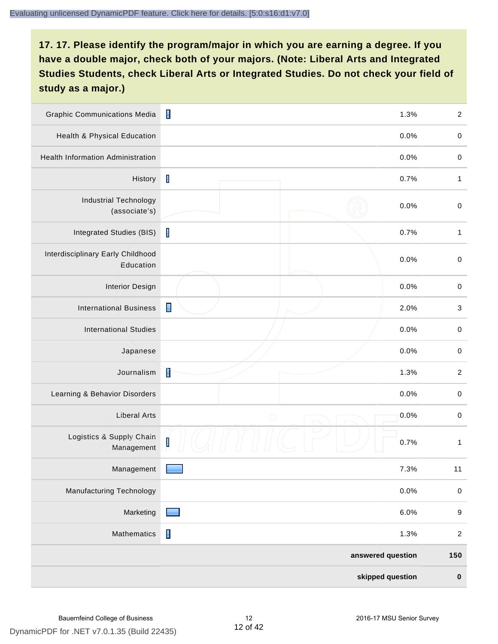| <b>Graphic Communications Media</b>            | $\blacksquare$                  | 1.3%              | $\overline{c}$            |
|------------------------------------------------|---------------------------------|-------------------|---------------------------|
| <b>Health &amp; Physical Education</b>         |                                 | 0.0%              | $\mathbf 0$               |
| <b>Health Information Administration</b>       |                                 | 0.0%              | $\pmb{0}$                 |
| History                                        | $\mathbf I$                     | 0.7%              | $\mathbf{1}$              |
| <b>Industrial Technology</b><br>(associate's)  |                                 | 0.0%              | $\mathbf 0$               |
| <b>Integrated Studies (BIS)</b>                | $\overline{\mathsf{I}}$         | 0.7%              | $\mathbf{1}$              |
| Interdisciplinary Early Childhood<br>Education |                                 | 0.0%              | $\mathbf 0$               |
| <b>Interior Design</b>                         |                                 | 0.0%              | $\mathbf 0$               |
| <b>International Business</b>                  | $\blacksquare$                  | 2.0%              | $\ensuremath{\mathsf{3}}$ |
| <b>International Studies</b>                   |                                 | 0.0%              | $\mathbf 0$               |
| Japanese                                       |                                 | 0.0%              | $\pmb{0}$                 |
| Journalism                                     | Ì                               | 1.3%              | $\overline{c}$            |
| Learning & Behavior Disorders                  |                                 | 0.0%              | $\mathbf 0$               |
| <b>Liberal Arts</b>                            | $\bigcirc$                      | 0.0%              | $\mathbf 0$               |
| Logistics & Supply Chain<br>Management         | $\begin{bmatrix} \end{bmatrix}$ | 0.7%              | $\mathbf{1}$              |
| Management                                     | <u>a sa sa</u>                  | 7.3%              | 11                        |
| <b>Manufacturing Technology</b>                |                                 | 0.0%              | $\pmb{0}$                 |
| Marketing                                      | <b>Research</b>                 | 6.0%              | $\boldsymbol{9}$          |
| Mathematics                                    | $\blacksquare$                  | 1.3%              | $\overline{c}$            |
|                                                |                                 | answered question | 150                       |
|                                                |                                 | skipped question  | $\pmb{0}$                 |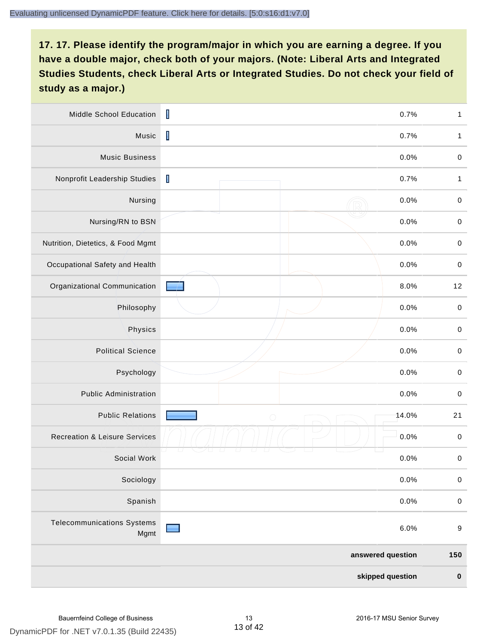| Middle School Education                   | $\mathsf I$       | 0.7%  | $\mathbf{1}$     |
|-------------------------------------------|-------------------|-------|------------------|
| Music                                     | $\mathbf I$       | 0.7%  | $\mathbf{1}$     |
| <b>Music Business</b>                     |                   | 0.0%  | $\pmb{0}$        |
| Nonprofit Leadership Studies              | $\mathbf I$       | 0.7%  | 1                |
| Nursing                                   |                   | 0.0%  | $\mathbf 0$      |
| Nursing/RN to BSN                         |                   | 0.0%  | $\pmb{0}$        |
| Nutrition, Dietetics, & Food Mgmt         |                   | 0.0%  | $\mathbf 0$      |
| Occupational Safety and Health            |                   | 0.0%  | $\pmb{0}$        |
| Organizational Communication              |                   | 8.0%  | 12               |
| Philosophy                                |                   | 0.0%  | $\mathbf 0$      |
| Physics                                   |                   | 0.0%  | $\pmb{0}$        |
| <b>Political Science</b>                  |                   | 0.0%  | $\pmb{0}$        |
| Psychology                                |                   | 0.0%  | $\pmb{0}$        |
| <b>Public Administration</b>              |                   | 0.0%  | $\mathbf 0$      |
| <b>Public Relations</b>                   | $\bigcirc$        | 14.0% | 21               |
| <b>Recreation &amp; Leisure Services</b>  |                   | 0.0%  | $\pmb{0}$        |
| Social Work                               |                   | 0.0%  | $\pmb{0}$        |
| Sociology                                 |                   | 0.0%  | $\pmb{0}$        |
| Spanish                                   |                   | 0.0%  | $\mathbf 0$      |
| <b>Telecommunications Systems</b><br>Mgmt |                   | 6.0%  | $\boldsymbol{9}$ |
|                                           | answered question |       | 150              |
|                                           | skipped question  |       | $\pmb{0}$        |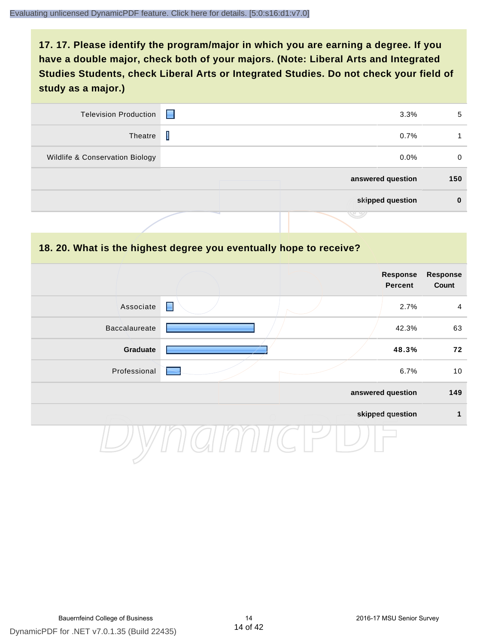| <b>Television Production</b>    | 3.3%<br><b>Format</b> | 5        |
|---------------------------------|-----------------------|----------|
| Theatre                         | I<br>0.7%             |          |
| Wildlife & Conservation Biology | $0.0\%$               | $\Omega$ |
|                                 | answered question     | 150      |
|                                 | skipped question      |          |
|                                 |                       |          |

#### **18. 20. What is the highest degree you eventually hope to receive?**

|                      |                | Response<br>Percent | <b>Response</b><br>Count |
|----------------------|----------------|---------------------|--------------------------|
| Associate            | $\blacksquare$ | 2.7%                | $\overline{4}$           |
| <b>Baccalaureate</b> |                | 42.3%               | 63                       |
| Graduate             |                | 48.3%               | 72                       |
| Professional         |                | 6.7%                | 10                       |
|                      |                | answered question   | 149                      |
|                      |                | skipped question    | 1                        |
|                      |                |                     |                          |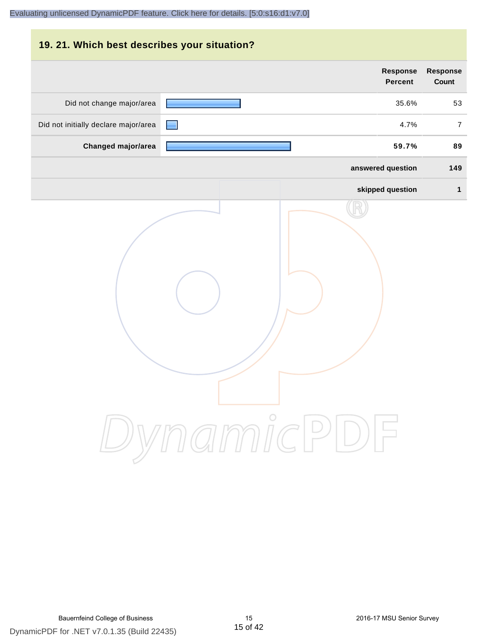# **19. 21. Which best describes your situation? Response Response Percent Count** Did not change major/area 35.6% 53 Did not initially declare major/area **1990** 100 mm and the set of the set of the set of the set of the set of the set of the set of the set of the set of the set of the set of the set of the set of the set of the set of th **Changed major/area 59.7% 89 answered question 149 skipped question 1** DynamicPDF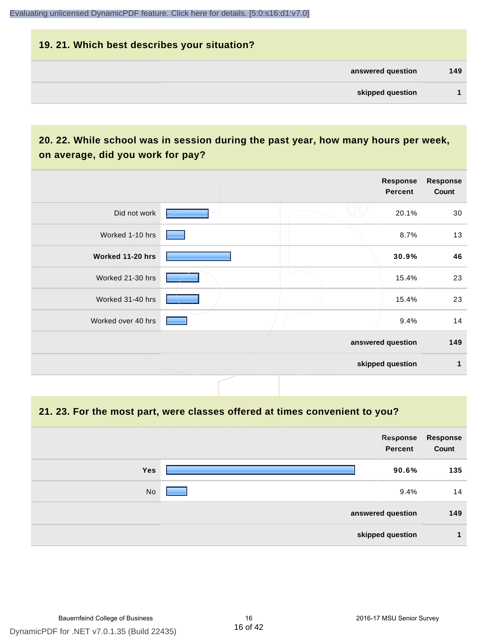## **19. 21. Which best describes your situation? answered question 149 skipped question 1**

#### **20. 22. While school was in session during the past year, how many hours per week, on average, did you work for pay?**

|                    |  | Response<br>Percent | <b>Response</b><br>Count |
|--------------------|--|---------------------|--------------------------|
| Did not work       |  | 20.1%               | 30                       |
| Worked 1-10 hrs    |  | 8.7%                | 13                       |
| Worked 11-20 hrs   |  | 30.9%               | 46                       |
| Worked 21-30 hrs   |  | 15.4%               | 23                       |
| Worked 31-40 hrs   |  | 15.4%               | 23                       |
| Worked over 40 hrs |  | 9.4%                | 14                       |
|                    |  | answered question   | 149                      |
|                    |  | skipped question    | 1                        |

#### **21. 23. For the most part, were classes offered at times convenient to you?**

|            | Response<br>Percent | <b>Response</b><br>Count |
|------------|---------------------|--------------------------|
| <b>Yes</b> | 90.6%               | 135                      |
| No         | 9.4%                | 14                       |
|            | answered question   | 149                      |
|            | skipped question    |                          |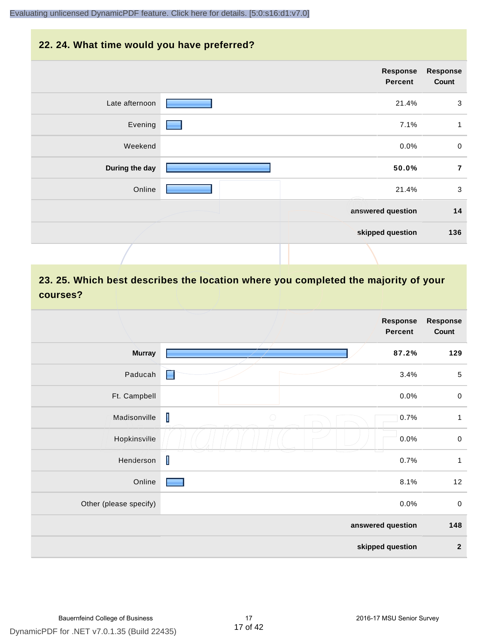#### **22. 24. What time would you have preferred?**

|                | Response<br>Percent | <b>Response</b><br>Count |
|----------------|---------------------|--------------------------|
| Late afternoon | 21.4%               | $\mathbf{3}$             |
| Evening        | 7.1%                | $\mathbf{1}$             |
| Weekend        | 0.0%                | $\mathbf 0$              |
| During the day | 50.0%               | $\overline{7}$           |
| Online         | 21.4%               | $\mathbf{3}$             |
|                | answered question   | 14                       |
|                | skipped question    | 136                      |
|                |                     |                          |

#### **23. 25. Which best describes the location where you completed the majority of your courses?**

|                        |                 | <b>Response</b><br><b>Percent</b> | <b>Response</b><br>Count |
|------------------------|-----------------|-----------------------------------|--------------------------|
| <b>Murray</b>          |                 | 87.2%                             | 129                      |
| Paducah                | E               | 3.4%                              | $\,$ 5 $\,$              |
| Ft. Campbell           |                 | 0.0%                              | $\mathbf 0$              |
| Madisonville           | T<br>$\bigcirc$ | 0.7%                              | $\mathbf{1}$             |
| Hopkinsville           |                 | 0.0%                              | $\pmb{0}$                |
| Henderson              | $\mathsf I$     | 0.7%                              | 1                        |
| Online                 |                 | 8.1%                              | 12                       |
| Other (please specify) |                 | 0.0%                              | $\pmb{0}$                |
|                        |                 | answered question                 | 148                      |
|                        |                 | skipped question                  | $\mathbf 2$              |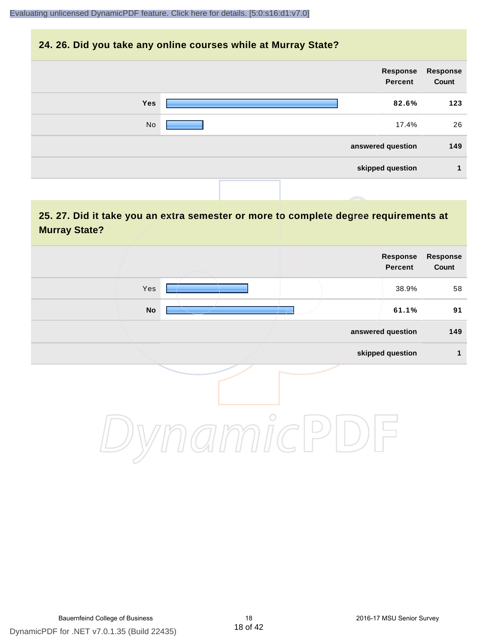#### **24. 26. Did you take any online courses while at Murray State?**

| Response<br>Count | Response<br>Percent |  |            |
|-------------------|---------------------|--|------------|
| 123               | 82.6%               |  | <b>Yes</b> |
| 26                | 17.4%               |  | No         |
| 149               | answered question   |  |            |
| и                 | skipped question    |  |            |
|                   |                     |  |            |

#### **25. 27. Did it take you an extra semester or more to complete degree requirements at Murray State?**

| Response<br>Count | Response<br>Percent |         |               |  |
|-------------------|---------------------|---------|---------------|--|
| 58                | 38.9%               |         | Yes           |  |
| 91                | 61.1%               |         | $\mathsf{No}$ |  |
| 149               | answered question   |         |               |  |
| 1                 | skipped question    |         |               |  |
|                   |                     | $\circ$ |               |  |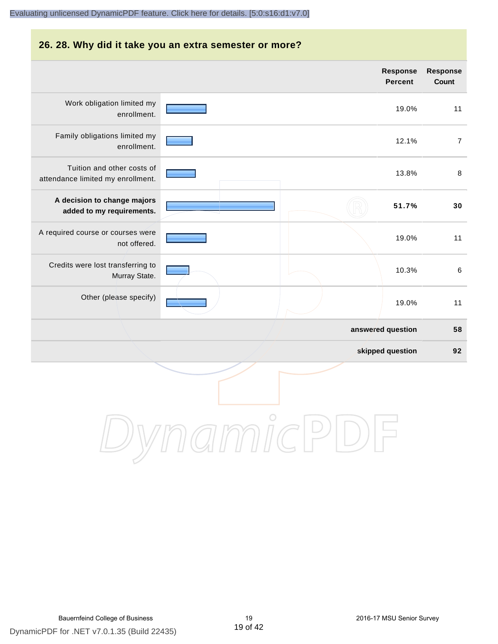#### **26. 28. Why did it take you an extra semester or more? answered question 58 skipped question 92 Response Percent Response Count** Work obligation limited my enrollment. 19.0% 11 Family obligations limited my enrollment. 12.1% 7 Tuition and other costs of attendance limited my enrollment. 13.8% 8 **A decision to change majors added to my requirements. 51.7% 30** A required course or courses were not offered. 19.0% 11 Credits were lost transferring to Murray State. 10.3% 6 Other (please specify) 19.0% 11 [Evaluating unlicensed DynamicPDF feature. Click here for details. \[5:0:s16:d1:v7.0\]](http://www.DynamicPDF.com/dplic/?d=T(EuYmIrxFe0nIre)

DynamicPDF for .NET v7.0.1.35 (Build 22435) Bauernfeind College of Business 19 2016-17 MSU Senior Survey

DynamicPDI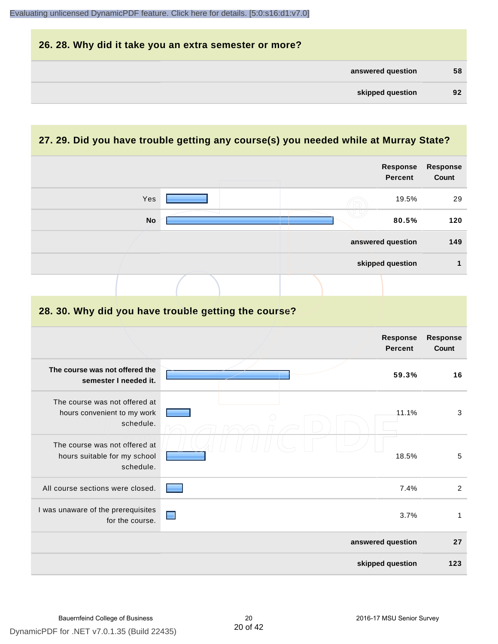| 26. 28. Why did it take you an extra semester or more? |    |
|--------------------------------------------------------|----|
| answered question                                      | 58 |
| skipped question                                       | 92 |

#### **27. 29. Did you have trouble getting any course(s) you needed while at Murray State?**

|                                                                            |                |  |  |  | Response<br><b>Percent</b>        | Response<br>Count        |
|----------------------------------------------------------------------------|----------------|--|--|--|-----------------------------------|--------------------------|
| Yes                                                                        |                |  |  |  | 19.5%                             | 29                       |
| <b>No</b>                                                                  |                |  |  |  | 80.5%                             | 120                      |
|                                                                            |                |  |  |  | answered question                 | 149                      |
|                                                                            |                |  |  |  | skipped question                  | 1                        |
|                                                                            |                |  |  |  |                                   |                          |
| 28. 30. Why did you have trouble getting the course?                       |                |  |  |  |                                   |                          |
|                                                                            |                |  |  |  | <b>Response</b><br><b>Percent</b> | Response<br><b>Count</b> |
| The course was not offered the<br>semester I needed it.                    |                |  |  |  | 59.3%                             | 16                       |
| The course was not offered at<br>hours convenient to my work<br>schedule.  |                |  |  |  | 11.1%                             | 3                        |
| The course was not offered at<br>hours suitable for my school<br>schedule. |                |  |  |  | 18.5%                             | $\overline{5}$           |
| All course sections were closed.                                           |                |  |  |  | 7.4%                              | $\overline{2}$           |
| I was unaware of the prerequisites<br>for the course.                      | $\blacksquare$ |  |  |  | 3.7%                              | $\mathbf{1}$             |
|                                                                            |                |  |  |  | answered question                 | 27                       |
|                                                                            |                |  |  |  | skipped question                  | 123                      |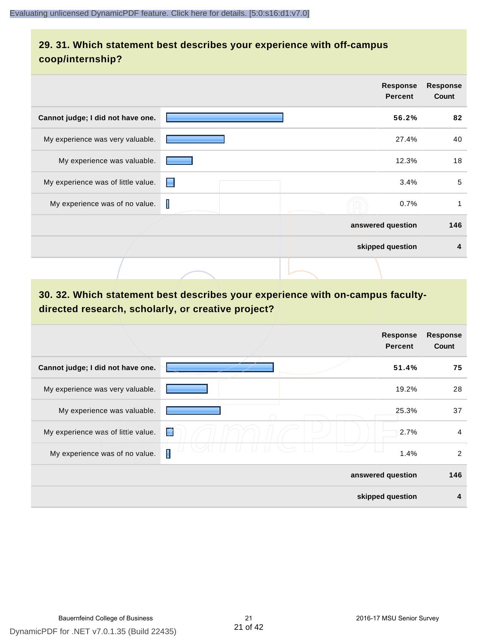#### **29. 31. Which statement best describes your experience with off-campus coop/internship?**

|                                    |   |  | <b>Response</b><br><b>Percent</b> | <b>Response</b><br>Count |
|------------------------------------|---|--|-----------------------------------|--------------------------|
| Cannot judge; I did not have one.  |   |  | 56.2%                             | 82                       |
| My experience was very valuable.   |   |  | 27.4%                             | 40                       |
| My experience was valuable.        |   |  | 12.3%                             | 18                       |
| My experience was of little value. | н |  | 3.4%                              | 5                        |
| My experience was of no value.     | I |  | 0.7%                              |                          |
|                                    |   |  | answered question                 | 146                      |
|                                    |   |  | skipped question                  | 4                        |
|                                    |   |  |                                   |                          |

#### **30. 32. Which statement best describes your experience with on-campus facultydirected research, scholarly, or creative project?**

|                                    | <b>Response</b><br><b>Percent</b> | <b>Response</b><br>Count |
|------------------------------------|-----------------------------------|--------------------------|
| Cannot judge; I did not have one.  | 51.4%                             | 75                       |
| My experience was very valuable.   | 19.2%                             | 28                       |
| My experience was valuable.        | 25.3%                             | 37                       |
| My experience was of little value. | 掌<br>2.7%                         | $\overline{4}$           |
| My experience was of no value.     | Γ<br>1.4%                         | $\overline{2}$           |
|                                    | answered question                 | 146                      |
|                                    | skipped question                  | 4                        |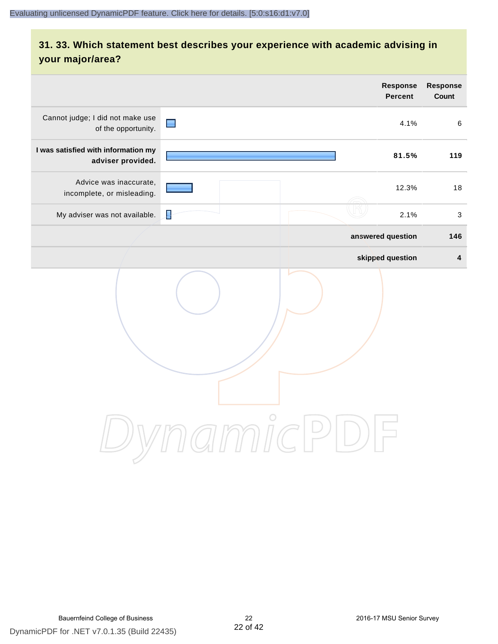#### **31. 33. Which statement best describes your experience with academic advising in your major/area?**

|                                                          | <b>Response</b><br>Percent                                            | Response<br>Count |
|----------------------------------------------------------|-----------------------------------------------------------------------|-------------------|
| Cannot judge; I did not make use<br>of the opportunity.  | $\blacksquare$<br>4.1%                                                | 6                 |
| I was satisfied with information my<br>adviser provided. | 81.5%                                                                 | 119               |
| Advice was inaccurate,<br>incomplete, or misleading.     | 12.3%                                                                 | 18                |
| My adviser was not available.                            | ₽<br>2.1%                                                             | $\sqrt{3}$        |
|                                                          | answered question                                                     | 146               |
|                                                          | skipped question                                                      | $\pmb{4}$         |
|                                                          | amnicli<br>$\left( \begin{array}{c} \end{array} \right)$<br>$\bigcup$ |                   |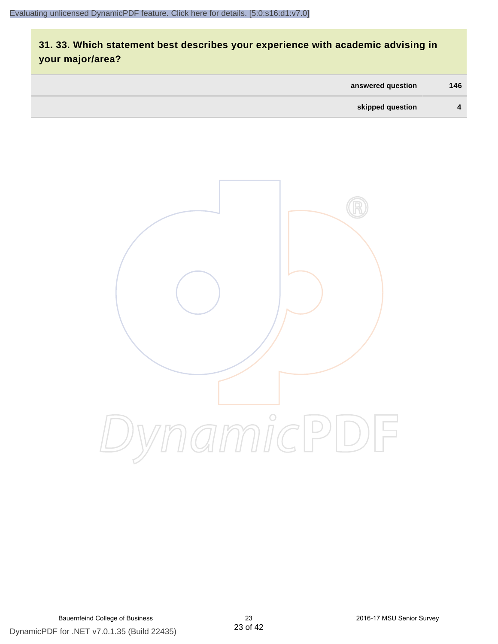### **31. 33. Which statement best describes your experience with academic advising in your major/area?**

| answered question | 146          |
|-------------------|--------------|
| skipped question  | $\mathbf{A}$ |

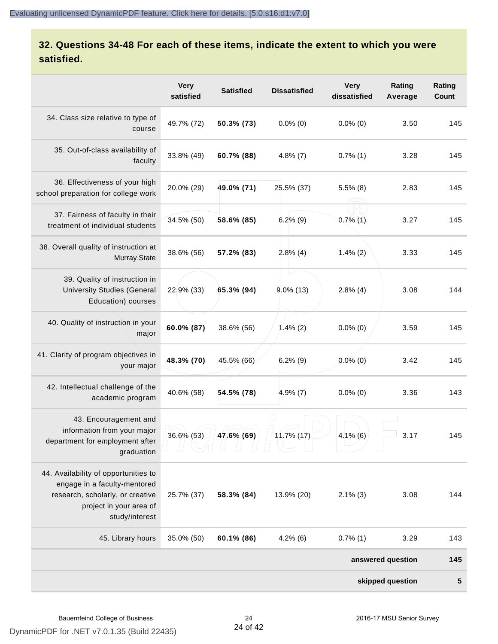#### **32. Questions 34-48 For each of these items, indicate the extent to which you were satisfied.**

|                                                                                                                                                       | <b>Very</b><br>satisfied | <b>Satisfied</b> | <b>Dissatisfied</b> | <b>Very</b><br>dissatisfied | Rating<br>Average | Rating<br>Count |
|-------------------------------------------------------------------------------------------------------------------------------------------------------|--------------------------|------------------|---------------------|-----------------------------|-------------------|-----------------|
| 34. Class size relative to type of<br>course                                                                                                          | 49.7% (72)               | 50.3% (73)       | $0.0\%$ (0)         | $0.0\%$ (0)                 | 3.50              | 145             |
| 35. Out-of-class availability of<br>faculty                                                                                                           | 33.8% (49)               | 60.7% (88)       | $4.8\%$ (7)         | $0.7\%$ (1)                 | 3.28              | 145             |
| 36. Effectiveness of your high<br>school preparation for college work                                                                                 | 20.0% (29)               | 49.0% (71)       | 25.5% (37)          | $5.5\%$ (8)                 | 2.83              | 145             |
| 37. Fairness of faculty in their<br>treatment of individual students                                                                                  | 34.5% (50)               | 58.6% (85)       | $6.2\%$ (9)         | $0.7\%$ (1)                 | 3.27              | 145             |
| 38. Overall quality of instruction at<br><b>Murray State</b>                                                                                          | 38.6% (56)               | 57.2% (83)       | 2.8%(4)             | $1.4\%$ (2)                 | 3.33              | 145             |
| 39. Quality of instruction in<br><b>University Studies (General</b><br>Education) courses                                                             | 22.9% (33)               | 65.3% (94)       | $9.0\%$ (13)        | $2.8\%$ (4)                 | 3.08              | 144             |
| 40. Quality of instruction in your<br>major                                                                                                           | 60.0% (87)               | 38.6% (56)       | $1.4\%$ (2)         | $0.0\%$ (0)                 | 3.59              | 145             |
| 41. Clarity of program objectives in<br>your major                                                                                                    | 48.3% (70)               | 45.5% (66)       | $6.2\%$ (9)         | $0.0\%$ (0)                 | 3.42              | 145             |
| 42. Intellectual challenge of the<br>academic program                                                                                                 | 40.6% (58)               | 54.5% (78)       | $4.9\%$ (7)         | $0.0\%$ (0)                 | 3.36              | 143             |
| 43. Encouragement and<br>information from your major<br>department for employment after<br>graduation                                                 | 36.6% (53)               | 47.6% (69)       | $11.7\%$ (17)       | $4.1\%$ (6)                 | 3.17              | 145             |
| 44. Availability of opportunities to<br>engage in a faculty-mentored<br>research, scholarly, or creative<br>project in your area of<br>study/interest | 25.7% (37)               | 58.3% (84)       | 13.9% (20)          | $2.1\%$ (3)                 | 3.08              | 144             |
| 45. Library hours                                                                                                                                     | 35.0% (50)               | 60.1% (86)       | $4.2\%$ (6)         | $0.7\%$ (1)                 | 3.29              | 143             |
|                                                                                                                                                       |                          |                  |                     |                             | answered question | 145             |
|                                                                                                                                                       |                          |                  |                     |                             | skipped question  | 5               |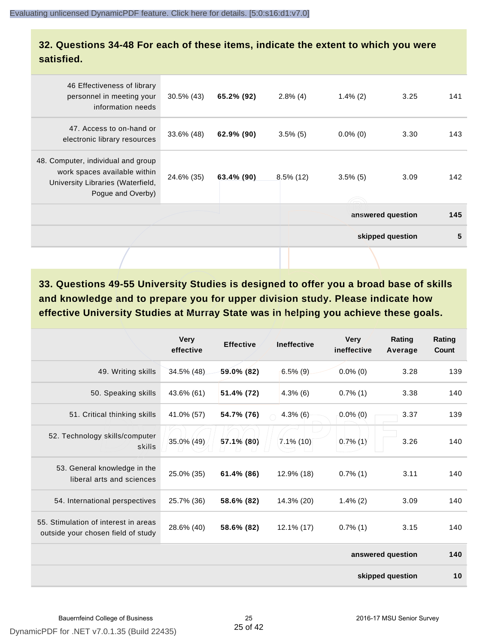#### **32. Questions 34-48 For each of these items, indicate the extent to which you were satisfied.**

| 46 Effectiveness of library<br>personnel in meeting your<br>information needs                                                | $30.5\%$ (43) | 65.2% (92) | $2.8\%$ (4)  | $1.4\%$ (2) | 3.25              | 141 |
|------------------------------------------------------------------------------------------------------------------------------|---------------|------------|--------------|-------------|-------------------|-----|
| 47. Access to on-hand or<br>electronic library resources                                                                     | 33.6% (48)    | 62.9% (90) | $3.5\%$ (5)  | $0.0\%$ (0) | 3.30              | 143 |
| 48. Computer, individual and group<br>work spaces available within<br>University Libraries (Waterfield,<br>Pogue and Overby) | 24.6% (35)    | 63.4% (90) | $8.5\%$ (12) | $3.5\%$ (5) | 3.09              | 142 |
|                                                                                                                              |               |            |              |             | answered question | 145 |
|                                                                                                                              |               |            |              |             | skipped question  | 5   |
|                                                                                                                              |               |            |              |             |                   |     |

**33. Questions 49-55 University Studies is designed to offer you a broad base of skills and knowledge and to prepare you for upper division study. Please indicate how effective University Studies at Murray State was in helping you achieve these goals.**

|                                                                            | <b>Very</b><br>effective | <b>Effective</b> | <b>Ineffective</b> | <b>Very</b><br>ineffective | Rating<br>Average | Rating<br>Count |  |
|----------------------------------------------------------------------------|--------------------------|------------------|--------------------|----------------------------|-------------------|-----------------|--|
| 49. Writing skills                                                         | $34.5\%$ (48)            | 59.0% (82)       | $6.5\%$ (9)        | $0.0\%$ (0)                | 3.28              | 139             |  |
| 50. Speaking skills                                                        | 43.6% (61)               | 51.4% (72)       | $4.3\%$ (6)        | $0.7\%$ (1)                | 3.38              | 140             |  |
| 51. Critical thinking skills                                               | 41.0% (57)               | 54.7% (76)       | $4.3\%$ (6)        | $0.0\%$ (0)                | 3.37              | 139             |  |
| 52. Technology skills/computer<br>skills                                   | 35.0% (49)               | 57.1% (80)       | $7.1\%$ (10)       | $0.7\%$ (1)                | 3.26              | 140             |  |
| 53. General knowledge in the<br>liberal arts and sciences                  | 25.0% (35)               | 61.4% (86)       | 12.9% (18)         | $0.7\%$ (1)                | 3.11              | 140             |  |
| 54. International perspectives                                             | 25.7% (36)               | 58.6% (82)       | 14.3% (20)         | $1.4\%$ (2)                | 3.09              | 140             |  |
| 55. Stimulation of interest in areas<br>outside your chosen field of study | 28.6% (40)               | 58.6% (82)       | 12.1% (17)         | $0.7\%$ (1)                | 3.15              | 140             |  |
|                                                                            |                          |                  |                    |                            | answered question |                 |  |
| skipped question                                                           |                          |                  |                    |                            |                   |                 |  |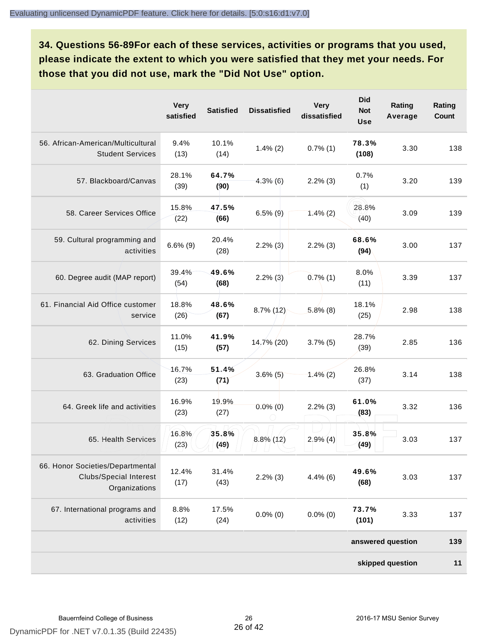**34. Questions 56-89For each of these services, activities or programs that you used, please indicate the extent to which you were satisfied that they met your needs. For those that you did not use, mark the "Did Not Use" option.**

|                                                                                    | <b>Very</b><br>satisfied | <b>Satisfied</b> | <b>Dissatisfied</b> | <b>Very</b><br>dissatisfied | <b>Did</b><br><b>Not</b><br><b>Use</b> | Rating<br>Average | Rating<br>Count |
|------------------------------------------------------------------------------------|--------------------------|------------------|---------------------|-----------------------------|----------------------------------------|-------------------|-----------------|
| 56. African-American/Multicultural<br><b>Student Services</b>                      | 9.4%<br>(13)             | 10.1%<br>(14)    | $1.4\%$ (2)         | $0.7\%$ (1)                 | 78.3%<br>(108)                         | 3.30              | 138             |
| 57. Blackboard/Canvas                                                              | 28.1%<br>(39)            | 64.7%<br>(90)    | $4.3\%$ (6)         | $2.2\%$ (3)                 | 0.7%<br>(1)                            | 3.20              | 139             |
| 58. Career Services Office                                                         | 15.8%<br>(22)            | 47.5%<br>(66)    | $6.5\%$ (9)         | $1.4\%$ (2)                 | 28.8%<br>(40)                          | 3.09              | 139             |
| 59. Cultural programming and<br>activities                                         | $6.6\%$ (9)              | 20.4%<br>(28)    | $2.2\%$ (3)         | $2.2\%$ (3)                 | 68.6%<br>(94)                          | 3.00              | 137             |
| 60. Degree audit (MAP report)                                                      | 39.4%<br>(54)            | 49.6%<br>(68)    | $2.2\%$ (3)         | $0.7\%$ (1)                 | 8.0%<br>(11)                           | 3.39              | 137             |
| 61. Financial Aid Office customer<br>service                                       | 18.8%<br>(26)            | 48.6%<br>(67)    | $8.7\%$ (12)        | $5.8\%$ (8)                 | 18.1%<br>(25)                          | 2.98              | 138             |
| 62. Dining Services                                                                | 11.0%<br>(15)            | 41.9%<br>(57)    | $14,7\%$ (20)       | $3.7\%$ (5)                 | 28.7%<br>(39)                          | 2.85              | 136             |
| 63. Graduation Office                                                              | 16.7%<br>(23)            | 51.4%<br>(71)    | $3.6\%$ (5)         | $1.4\%$ (2)                 | 26.8%<br>(37)                          | 3.14              | 138             |
| 64. Greek life and activities                                                      | 16.9%<br>(23)            | 19.9%<br>(27)    | $0.0\%$ (0)         | $2.2\%$ (3)                 | 61.0%<br>(83)                          | 3.32              | 136             |
| 65. Health Services                                                                | 16.8%<br>(23)            | 35.8%<br>(49)    | $8.8\%$ (12)        | $2.9\%$ (4)                 | 35.8%<br>(49)                          | 3.03              | 137             |
| 66. Honor Societies/Departmental<br><b>Clubs/Special Interest</b><br>Organizations | 12.4%<br>(17)            | 31.4%<br>(43)    | $2.2\%$ (3)         | $4.4\%$ (6)                 | 49.6%<br>(68)                          | 3.03              | 137             |
| 67. International programs and<br>activities                                       | 8.8%<br>(12)             | 17.5%<br>(24)    | $0.0\%$ (0)         | $0.0\%$ (0)                 | 73.7%<br>(101)                         | 3.33              | 137             |
|                                                                                    |                          |                  |                     |                             |                                        | answered question | 139             |
|                                                                                    |                          |                  |                     |                             |                                        | skipped question  | 11              |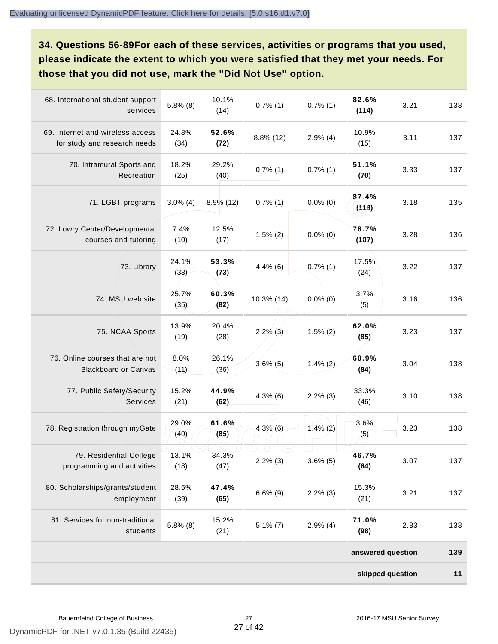**34. Questions 56-89For each of these services, activities or programs that you used, please indicate the extent to which you were satisfied that they met your needs. For those that you did not use, mark the "Did Not Use" option.**

| 68. International student support<br>services                    | $5.8\%$ (8)   | 10.1%<br>(14) | $0.7\%$ (1)  | $0.7\%$ (1) | 82.6%<br>(114)    | 3.21 | 138 |
|------------------------------------------------------------------|---------------|---------------|--------------|-------------|-------------------|------|-----|
| 69. Internet and wireless access<br>for study and research needs | 24.8%<br>(34) | 52.6%<br>(72) | $8.8\%$ (12) | $2.9\%$ (4) | 10.9%<br>(15)     | 3.11 | 137 |
| 70. Intramural Sports and<br>Recreation                          | 18.2%<br>(25) | 29.2%<br>(40) | $0.7\%$ (1)  | $0.7\%$ (1) | 51.1%<br>(70)     | 3.33 | 137 |
| 71. LGBT programs                                                | $3.0\%$ (4)   | $8.9\%$ (12)  | $0.7\%$ (1)  | $0.0\%$ (0) | 87.4%<br>(118)    | 3.18 | 135 |
| 72. Lowry Center/Developmental<br>courses and tutoring           | 7.4%<br>(10)  | 12.5%<br>(17) | $1.5\%$ (2)  | $0.0\%$ (0) | 78.7%<br>(107)    | 3.28 | 136 |
| 73. Library                                                      | 24.1%<br>(33) | 53.3%<br>(73) | $4.4\%$ (6)  | $0.7\%$ (1) | 17.5%<br>(24)     | 3.22 | 137 |
| 74. MSU web site                                                 | 25.7%<br>(35) | 60.3%<br>(82) | 10.3% (14)   | $0.0\%$ (0) | 3.7%<br>(5)       | 3.16 | 136 |
| 75. NCAA Sports                                                  | 13.9%<br>(19) | 20.4%<br>(28) | $2.2\%$ (3)  | $1.5\%$ (2) | 62.0%<br>(85)     | 3.23 | 137 |
| 76. Online courses that are not<br><b>Blackboard or Canvas</b>   | 8.0%<br>(11)  | 26.1%<br>(36) | $3.6\%$ (5)  | $1.4\%$ (2) | 60.9%<br>(84)     | 3.04 | 138 |
| 77. Public Safety/Security<br><b>Services</b>                    | 15.2%<br>(21) | 44.9%<br>(62) | $4.3\%$ (6)  | $2.2\%$ (3) | 33.3%<br>(46)     | 3.10 | 138 |
| 78. Registration through myGate                                  | 29.0%<br>(40) | 61.6%<br>(85) | $4.3\%$ (6)  | $1.4\%$ (2) | 3.6%<br>(5)       | 3.23 | 138 |
| 79. Residential College<br>programming and activities            | 13.1%<br>(18) | 34.3%<br>(47) | $2.2\%$ (3)  | $3.6\%$ (5) | 46.7%<br>(64)     | 3.07 | 137 |
| 80. Scholarships/grants/student<br>employment                    | 28.5%<br>(39) | 47.4%<br>(65) | $6.6\%$ (9)  | $2.2\%$ (3) | 15.3%<br>(21)     | 3.21 | 137 |
| 81. Services for non-traditional<br>students                     | $5.8\%$ (8)   | 15.2%<br>(21) | $5.1\%$ (7)  | $2.9\%$ (4) | 71.0%<br>(98)     | 2.83 | 138 |
|                                                                  |               |               |              |             | answered question |      | 139 |
|                                                                  |               |               |              |             | skipped question  |      | 11  |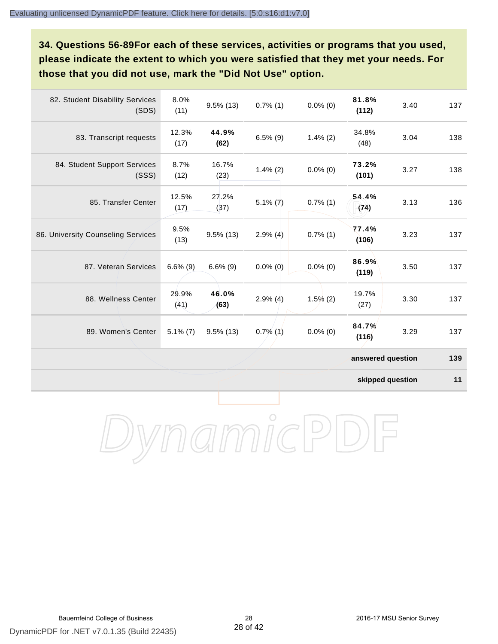**34. Questions 56-89For each of these services, activities or programs that you used, please indicate the extent to which you were satisfied that they met your needs. For those that you did not use, mark the "Did Not Use" option.**

| 82. Student Disability Services<br>(SDS) | 8.0%<br>(11)  | $9.5\%$ (13)  | $0.7\%$ (1) | $0.0\%$ (0) | 81.8%<br>(112)    | 3.40 | 137 |
|------------------------------------------|---------------|---------------|-------------|-------------|-------------------|------|-----|
| 83. Transcript requests                  | 12.3%<br>(17) | 44.9%<br>(62) | $6.5\%$ (9) | $1.4\%$ (2) | 34.8%<br>(48)     | 3.04 | 138 |
| 84. Student Support Services<br>(SSS)    | 8.7%<br>(12)  | 16.7%<br>(23) | $1.4\%$ (2) | $0.0\%$ (0) | 73.2%<br>(101)    | 3.27 | 138 |
| 85. Transfer Center                      | 12.5%<br>(17) | 27.2%<br>(37) | $5.1\% (7)$ | $0.7\%$ (1) | 54.4%<br>(74)     | 3.13 | 136 |
| 86. University Counseling Services       | 9.5%<br>(13)  | $9.5\%$ (13)  | $2.9\%$ (4) | $0.7\%$ (1) | 77.4%<br>(106)    | 3.23 | 137 |
| 87. Veteran Services                     | $6.6\%$ (9)   | $6.6\%$ (9)   | $0.0\%$ (0) | $0.0\%$ (0) | 86.9%<br>(119)    | 3.50 | 137 |
| 88. Wellness Center                      | 29.9%<br>(41) | 46.0%<br>(63) | $2.9\%$ (4) | $1.5\%$ (2) | 19.7%<br>(27)     | 3.30 | 137 |
| 89. Women's Center                       | $5.1\%$ (7)   | $9.5\%$ (13)  | $0.7\%$ (1) | $0.0\%$ (0) | 84.7%<br>(116)    | 3.29 | 137 |
|                                          |               |               |             |             | answered question |      | 139 |

**skipped question 11**

DynamicPDF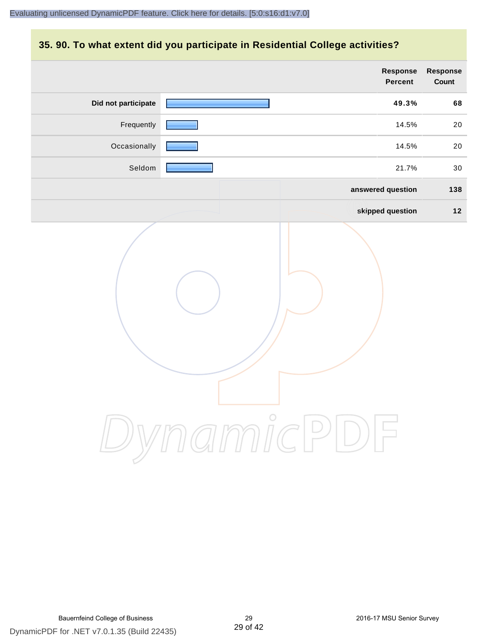#### **35. 90. To what extent did you participate in Residential College activities?**

|                     | Response<br>Percent | Response<br>Count |
|---------------------|---------------------|-------------------|
| Did not participate | 49.3%               | 68                |
| Frequently          | 14.5%               | 20                |
| Occasionally        | 14.5%               | 20                |
| Seldom              | 21.7%               | 30                |
|                     | answered question   | 138               |
|                     | skipped question    | $12$              |
|                     | ynamicPD            |                   |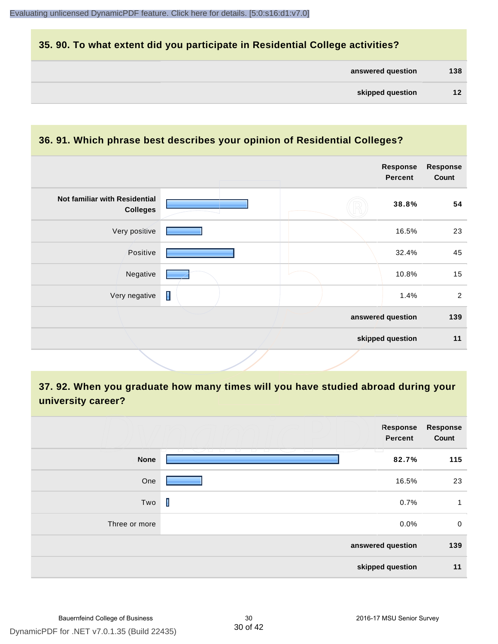#### **35. 90. To what extent did you participate in Residential College activities?**

| answered question |  | 138 |
|-------------------|--|-----|
|-------------------|--|-----|

**skipped question 11**

#### **36. 91. Which phrase best describes your opinion of Residential Colleges? answered question 139 Response Percent Response Count Not familiar with Residential Colleges 38.8% 54** Very positive **16.5%** 23 Positive **2008** 22.4% 45 Negative 10.8% 15 Very negative  $\Box$  2

**37. 92. When you graduate how many times will you have studied abroad during your university career?**

|               | <b>Response</b><br>Percent                                                                                                                                                                                                                                                                             | Response<br>Count |
|---------------|--------------------------------------------------------------------------------------------------------------------------------------------------------------------------------------------------------------------------------------------------------------------------------------------------------|-------------------|
| <b>None</b>   | <u>Wandi</u><br>- 1 - 1 - 1<br>$\sim$<br>The Contract<br><b>The Contract of the Contract of the Contract of the Contract of the Contract of the Contract of the Contract of the Contract of The Contract of The Contract of The Contract of The Contract of The Contract of The Contract </b><br>82.7% | 115               |
| One           | 16.5%                                                                                                                                                                                                                                                                                                  | 23                |
| Two           | $\mathbf I$<br>0.7%                                                                                                                                                                                                                                                                                    | 1                 |
| Three or more | 0.0%                                                                                                                                                                                                                                                                                                   | $\mathbf 0$       |
|               | answered question                                                                                                                                                                                                                                                                                      | 139               |
|               | skipped question                                                                                                                                                                                                                                                                                       | 11                |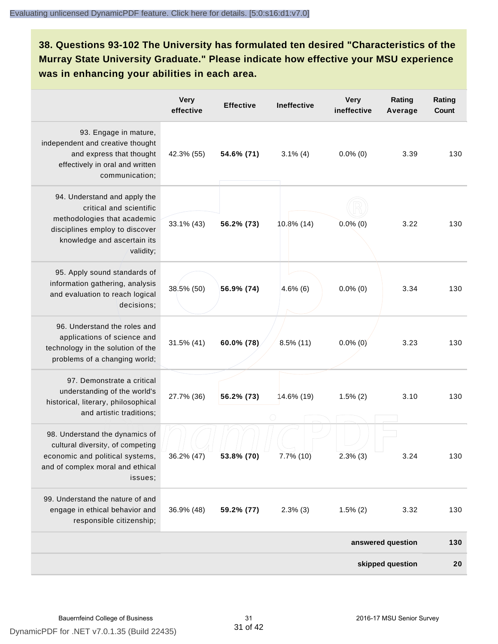**38. Questions 93-102 The University has formulated ten desired "Characteristics of the Murray State University Graduate." Please indicate how effective your MSU experience was in enhancing your abilities in each area.**

|                                                                                                                                                                      | <b>Very</b><br>effective | <b>Effective</b> | Ineffective  | <b>Very</b><br>ineffective | Rating<br>Average | Rating<br><b>Count</b> |
|----------------------------------------------------------------------------------------------------------------------------------------------------------------------|--------------------------|------------------|--------------|----------------------------|-------------------|------------------------|
| 93. Engage in mature,<br>independent and creative thought<br>and express that thought<br>effectively in oral and written<br>communication;                           | 42.3% (55)               | 54.6% (71)       | $3.1\%$ (4)  | $0.0\%$ (0)                | 3.39              | 130                    |
| 94. Understand and apply the<br>critical and scientific<br>methodologies that academic<br>disciplines employ to discover<br>knowledge and ascertain its<br>validity; | 33.1% (43)               | 56.2% (73)       | 10.8% (14)   | $0.0\%$ (0)                | 3.22              | 130                    |
| 95. Apply sound standards of<br>information gathering, analysis<br>and evaluation to reach logical<br>decisions;                                                     | 38.5% (50)               | 56.9% (74)       | $4.6\%$ (6)  | $0.0\%$ (0)                | 3.34              | 130                    |
| 96. Understand the roles and<br>applications of science and<br>technology in the solution of the<br>problems of a changing world;                                    | 31.5% (41)               | 60.0% (78)       | $8.5\%$ (11) | $0.0\%$ (0)                | 3.23              | 130                    |
| 97. Demonstrate a critical<br>understanding of the world's<br>historical, literary, philosophical<br>and artistic traditions;                                        | 27.7% (36)               | 56.2% (73)       | 14.6% (19)   | $1.5\%$ (2)                | 3.10              | 130                    |
| 98. Understand the dynamics of<br>cultural diversity, of competing<br>economic and political systems,<br>and of complex moral and ethical<br>issues;                 | 36.2% (47)               | 53.8% (70)       | $7.7\%$ (10) | $2.3\%$ (3)                | 3.24              | 130                    |
| 99. Understand the nature of and<br>engage in ethical behavior and<br>responsible citizenship;                                                                       | 36.9% (48)               | 59.2% (77)       | $2.3\%$ (3)  | $1.5\%$ (2)                | 3.32              | 130                    |
|                                                                                                                                                                      |                          |                  |              |                            | answered question | 130                    |
|                                                                                                                                                                      |                          |                  |              |                            | skipped question  | 20                     |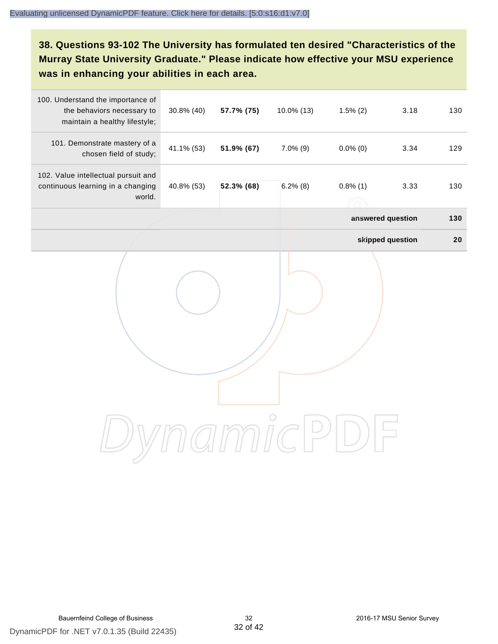#### **38. Questions 93-102 The University has formulated ten desired "Characteristics of the Murray State University Graduate." Please indicate how effective your MSU experience was in enhancing your abilities in each area.**

| 100. Understand the importance of<br>the behaviors necessary to<br>maintain a healthy lifestyle; | 30.8% (40) | 57.7% (75) | 10.0% (13)  | $1.5\%$ (2)       | 3.18             | 130 |
|--------------------------------------------------------------------------------------------------|------------|------------|-------------|-------------------|------------------|-----|
| 101. Demonstrate mastery of a<br>chosen field of study;                                          | 41.1% (53) | 51.9% (67) | $7.0\%$ (9) | $0.0\%$ (0)       | 3.34             | 129 |
| 102. Value intellectual pursuit and<br>continuous learning in a changing<br>world.               | 40.8% (53) | 52.3% (68) | $6.2\%$ (8) | $0.8\%$ (1)       | 3.33             | 130 |
|                                                                                                  |            |            |             | answered question |                  | 130 |
|                                                                                                  |            |            |             |                   | skipped question | 20  |
|                                                                                                  |            |            |             |                   |                  |     |
|                                                                                                  |            |            |             |                   |                  |     |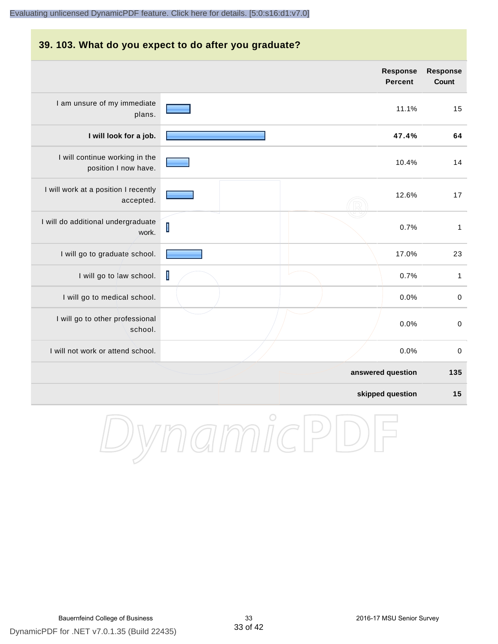#### **39. 103. What do you expect to do after you graduate? Response Response Percent Count** I am unsure of my immediate 11.1% 15 plans. **I will look for a job. 47.4% 64** I will continue working in the 10.4% 14 position I now have. I will work at a position I recently 12.6% 17 accepted. I will do additional undergraduate  $\overline{\mathsf{I}}$ 0.7% 1 work. I will go to graduate school. **17.0%** 23 I will go to law school.  $\blacksquare$ I will go to medical school.  $\begin{array}{ccc} 0.0\% & 0 \end{array}$ I will go to other professional 0.0% 0 school. I will not work or attend school. 0.0% 0 **answered question 135 skipped question 15**

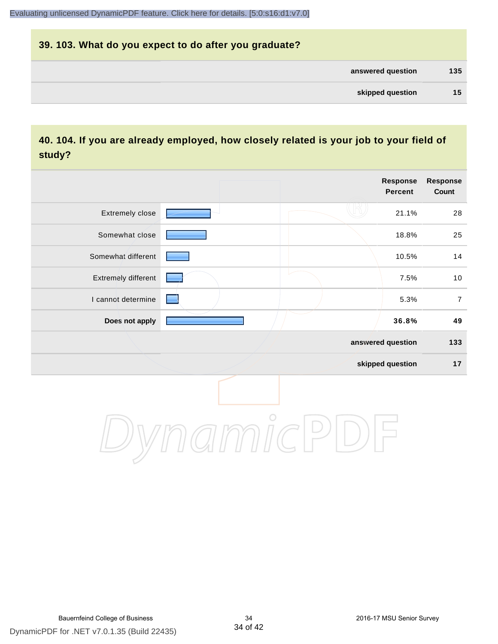## **39. 103. What do you expect to do after you graduate? answered question 135 skipped question 15**

#### **40. 104. If you are already employed, how closely related is your job to your field of study?**

|                     |         | <b>Response</b><br><b>Percent</b> | <b>Response</b><br>Count |
|---------------------|---------|-----------------------------------|--------------------------|
| Extremely close     |         | 21.1%                             | 28                       |
| Somewhat close      |         | 18.8%                             | 25                       |
| Somewhat different  |         | 10.5%                             | 14                       |
| Extremely different |         | 7.5%                              | 10                       |
| I cannot determine  |         | 5.3%                              | $\overline{7}$           |
| Does not apply      |         | 36.8%                             | 49                       |
|                     |         | answered question                 | 133                      |
|                     |         | skipped question                  | 17                       |
|                     | $\circ$ |                                   |                          |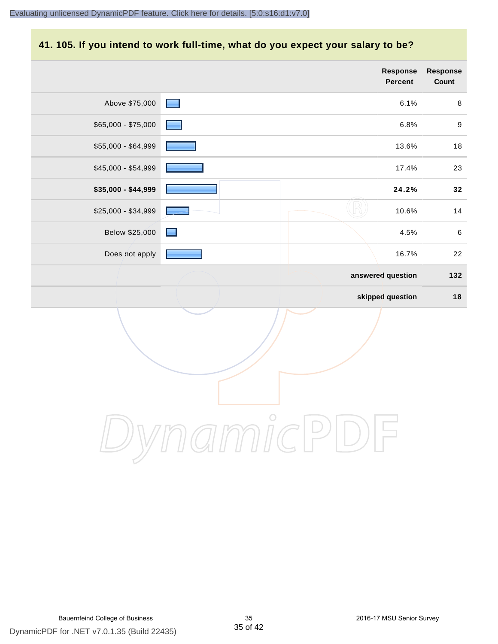#### **41. 105. If you intend to work full-time, what do you expect your salary to be?**

|                     |                | Response<br>Percent | Response<br>Count |
|---------------------|----------------|---------------------|-------------------|
| Above \$75,000      | $\blacksquare$ | 6.1%                | $\,8\,$           |
| \$65,000 - \$75,000 |                | 6.8%                | $\boldsymbol{9}$  |
| \$55,000 - \$64,999 |                | 13.6%               | $18$              |
| \$45,000 - \$54,999 |                | 17.4%               | 23                |
| \$35,000 - \$44,999 |                | 24.2%               | 32                |
| \$25,000 - \$34,999 |                | 10.6%               | 14                |
| Below \$25,000      | $\blacksquare$ | 4.5%                | $\,6\,$           |
| Does not apply      |                | 16.7%               | 22                |
|                     |                | answered question   | 132               |
|                     |                | skipped question    | $18$              |
|                     |                |                     |                   |
|                     | $\overline{C}$ |                     |                   |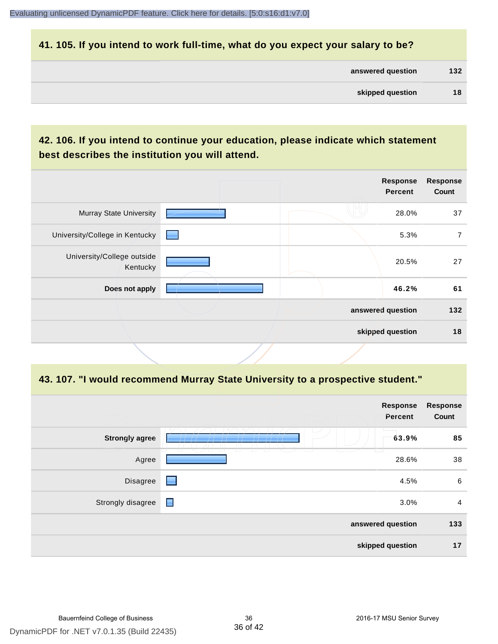#### **41. 105. If you intend to work full-time, what do you expect your salary to be?**

| answered question | 132 |
|-------------------|-----|
|                   |     |

#### **42. 106. If you intend to continue your education, please indicate which statement best describes the institution you will attend.**

|                                        |                 | <b>Response</b><br><b>Percent</b> | <b>Response</b><br>Count |
|----------------------------------------|-----------------|-----------------------------------|--------------------------|
| <b>Murray State University</b>         |                 | 28.0%                             | 37                       |
| University/College in Kentucky         | <b>Contract</b> | 5.3%                              | 7                        |
| University/College outside<br>Kentucky |                 | 20.5%                             | 27                       |
| Does not apply                         |                 | 46.2%                             | 61                       |
|                                        |                 | answered question                 | 132                      |
|                                        |                 | skipped question                  | 18                       |

#### **43. 107. "I would recommend Murray State University to a prospective student."**

|                                                                 | <b>Response</b><br>Percent                            | <b>Response</b><br>Count              |
|-----------------------------------------------------------------|-------------------------------------------------------|---------------------------------------|
|                                                                 | 63.9%                                                 | 85                                    |
|                                                                 | 28.6%                                                 | 38                                    |
| ▬                                                               | 4.5%                                                  | 6                                     |
| $\blacksquare$                                                  | 3.0%                                                  | 4                                     |
|                                                                 |                                                       | 133                                   |
|                                                                 |                                                       | 17                                    |
| <b>Strongly agree</b><br>Agree<br>Disagree<br>Strongly disagree | $\perp$<br>$\overline{\phantom{a}}$<br>$\overline{a}$ | answered question<br>skipped question |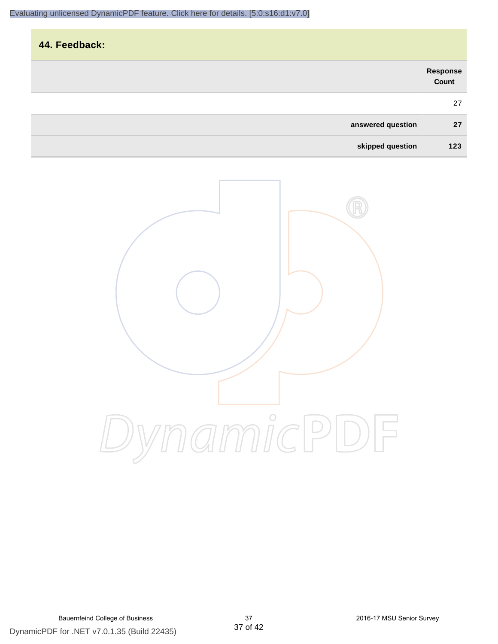|                   |                   | 44. Feedback: |
|-------------------|-------------------|---------------|
| Response<br>Count |                   |               |
| 27                |                   |               |
| 27                | answered question |               |
| 123               | skipped question  |               |

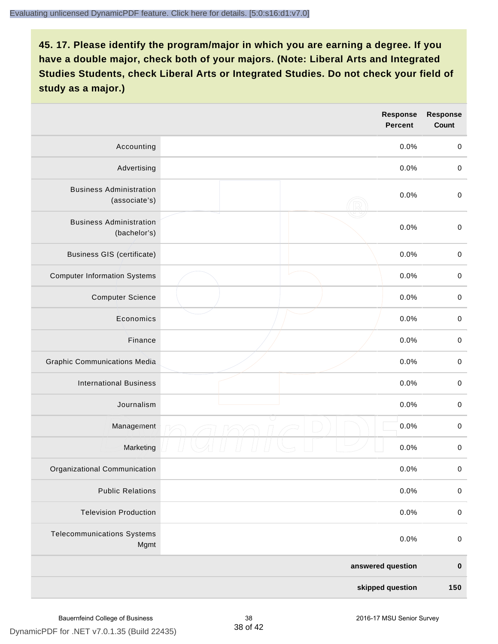|                                                 |  | <b>Response</b><br><b>Percent</b> | <b>Response</b><br>Count |
|-------------------------------------------------|--|-----------------------------------|--------------------------|
| Accounting                                      |  | 0.0%                              | $\mathbf 0$              |
| Advertising                                     |  | 0.0%                              | $\pmb{0}$                |
| <b>Business Administration</b><br>(associate's) |  | 0.0%                              | $\pmb{0}$                |
| <b>Business Administration</b><br>(bachelor's)  |  | 0.0%                              | $\pmb{0}$                |
| <b>Business GIS (certificate)</b>               |  | 0.0%                              | $\mathbf 0$              |
| <b>Computer Information Systems</b>             |  | 0.0%                              | $\pmb{0}$                |
| <b>Computer Science</b>                         |  | 0.0%                              | $\mathbf 0$              |
| Economics                                       |  | 0.0%                              | $\pmb{0}$                |
| Finance                                         |  | 0.0%                              | $\pmb{0}$                |
| <b>Graphic Communications Media</b>             |  | 0.0%                              | $\mathbf 0$              |
| <b>International Business</b>                   |  | 0.0%                              | $\pmb{0}$                |
| Journalism                                      |  | 0.0%                              | $\mathbf 0$              |
| Management                                      |  | 0.0%                              | $\pmb{0}$                |
| Marketing                                       |  | 0.0%                              | $\,0\,$                  |
| Organizational Communication                    |  | 0.0%                              | $\pmb{0}$                |
| <b>Public Relations</b>                         |  | 0.0%                              | $\mathbf 0$              |
| <b>Television Production</b>                    |  | 0.0%                              | $\mathsf 0$              |
| <b>Telecommunications Systems</b><br>Mgmt       |  | 0.0%                              | $\mathbf 0$              |
| answered question                               |  | $\pmb{0}$                         |                          |
| skipped question                                |  | 150                               |                          |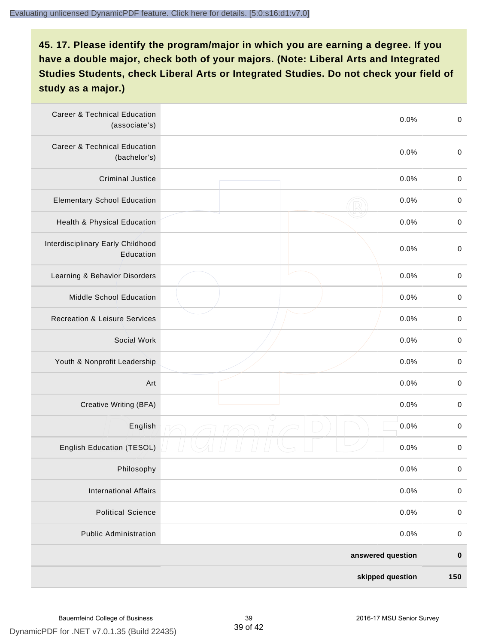| <b>Career &amp; Technical Education</b><br>(associate's) |  | 0.0%             | $\pmb{0}$   |
|----------------------------------------------------------|--|------------------|-------------|
| <b>Career &amp; Technical Education</b><br>(bachelor's)  |  | 0.0%             | $\mathbf 0$ |
| <b>Criminal Justice</b>                                  |  | 0.0%             | $\pmb{0}$   |
| <b>Elementary School Education</b>                       |  | 0.0%             | $\pmb{0}$   |
| Health & Physical Education                              |  | 0.0%             | $\pmb{0}$   |
| Interdisciplinary Early Childhood<br>Education           |  | 0.0%             | $\pmb{0}$   |
| Learning & Behavior Disorders                            |  | 0.0%             | $\pmb{0}$   |
| Middle School Education                                  |  | 0.0%             | $\mathbf 0$ |
| <b>Recreation &amp; Leisure Services</b>                 |  | 0.0%             | $\mathbf 0$ |
| Social Work                                              |  | 0.0%             | $\mathbf 0$ |
| Youth & Nonprofit Leadership                             |  | 0.0%             | $\mathbf 0$ |
| Art                                                      |  | 0.0%             | $\pmb{0}$   |
| Creative Writing (BFA)                                   |  | 0.0%             | $\pmb{0}$   |
| English                                                  |  | 0.0%             | $\pmb{0}$   |
| English Education (TESOL)                                |  | 0.0%             | $\pmb{0}$   |
| Philosophy                                               |  | 0.0%             | 0           |
| <b>International Affairs</b>                             |  | 0.0%             | $\pmb{0}$   |
| <b>Political Science</b>                                 |  | 0.0%             | $\mathbf 0$ |
| <b>Public Administration</b>                             |  | 0.0%             | $\mathbf 0$ |
| answered question                                        |  |                  | $\pmb{0}$   |
|                                                          |  | skipped question | 150         |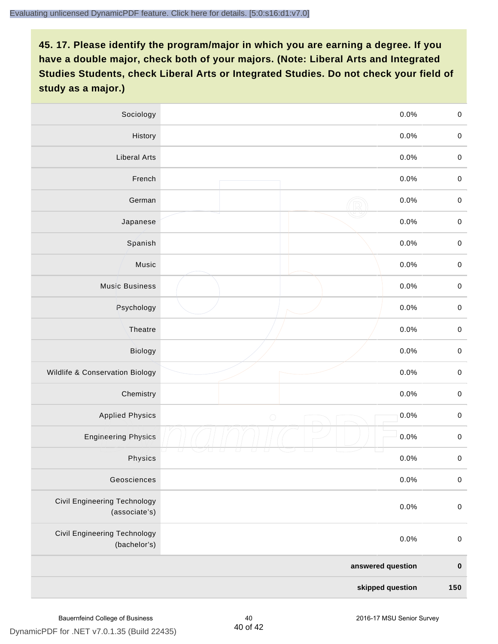| Sociology                                           | 0.0%               | $\mathbf 0$         |
|-----------------------------------------------------|--------------------|---------------------|
| History                                             | 0.0%               | $\mathbf 0$         |
| <b>Liberal Arts</b>                                 | 0.0%               | $\pmb{0}$           |
| French                                              | 0.0%               | $\pmb{0}$           |
| German                                              | 0.0%               | $\mathbf 0$         |
| Japanese                                            | 0.0%               | $\mathbf 0$         |
| Spanish                                             | 0.0%               | $\mathbf 0$         |
| Music                                               | 0.0%               | $\mathbf 0$         |
| <b>Music Business</b>                               | 0.0%               | $\pmb{0}$           |
| Psychology                                          | 0.0%               | $\mathbf 0$         |
| Theatre                                             | 0.0%               | $\mathbf 0$         |
| Biology                                             | 0.0%               | $\mathbf 0$         |
| Wildlife & Conservation Biology                     | 0.0%               | $\mathbf 0$         |
| Chemistry                                           | 0.0%               | $\pmb{0}$           |
| <b>Applied Physics</b>                              | 0.0%<br>$\bigcirc$ | $\mathbf 0$         |
| <b>Engineering Physics</b>                          | 0.0%               | $\mathbf 0$         |
| Physics                                             | 0.0%               | $\mathsf{O}\xspace$ |
| Geosciences                                         | 0.0%               | $\mathbf 0$         |
| Civil Engineering Technology<br>(associate's)       | 0.0%               | $\pmb{0}$           |
| <b>Civil Engineering Technology</b><br>(bachelor's) | 0.0%               | $\mathbf 0$         |
|                                                     | answered question  | $\pmb{0}$           |
| skipped question                                    |                    | 150                 |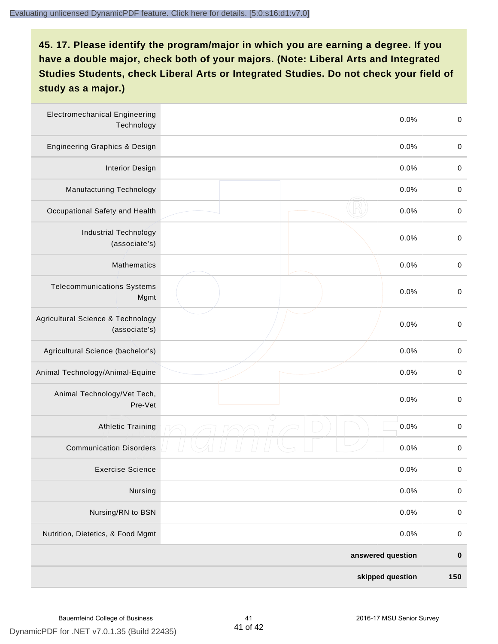| <b>Electromechanical Engineering</b><br>Technology | 0.0%              | $\mathbf 0$ |
|----------------------------------------------------|-------------------|-------------|
| <b>Engineering Graphics &amp; Design</b>           | 0.0%              | $\mathbf 0$ |
| <b>Interior Design</b>                             | 0.0%              | $\pmb{0}$   |
| Manufacturing Technology                           | 0.0%              | $\pmb{0}$   |
| Occupational Safety and Health                     | 0.0%              | $\pmb{0}$   |
| <b>Industrial Technology</b><br>(associate's)      | 0.0%              | $\pmb{0}$   |
| <b>Mathematics</b>                                 | 0.0%              | $\pmb{0}$   |
| <b>Telecommunications Systems</b><br>Mgmt          | 0.0%              | $\pmb{0}$   |
| Agricultural Science & Technology<br>(associate's) | 0.0%              | $\mathbf 0$ |
| Agricultural Science (bachelor's)                  | 0.0%              | $\mathbf 0$ |
| Animal Technology/Animal-Equine                    | 0.0%              | $\pmb{0}$   |
| Animal Technology/Vet Tech,<br>Pre-Vet             | 0.0%              | $\pmb{0}$   |
| <b>Athletic Training</b>                           | 0.0%              | $\pmb{0}$   |
| <b>Communication Disorders</b>                     | 0.0%              | $\pmb{0}$   |
| <b>Exercise Science</b>                            | 0.0%              | $\pmb{0}$   |
| Nursing                                            | 0.0%              | $\pmb{0}$   |
| Nursing/RN to BSN                                  | 0.0%              | $\pmb{0}$   |
| Nutrition, Dietetics, & Food Mgmt                  | 0.0%              | $\,0\,$     |
|                                                    | answered question | $\pmb{0}$   |
|                                                    | skipped question  | 150         |